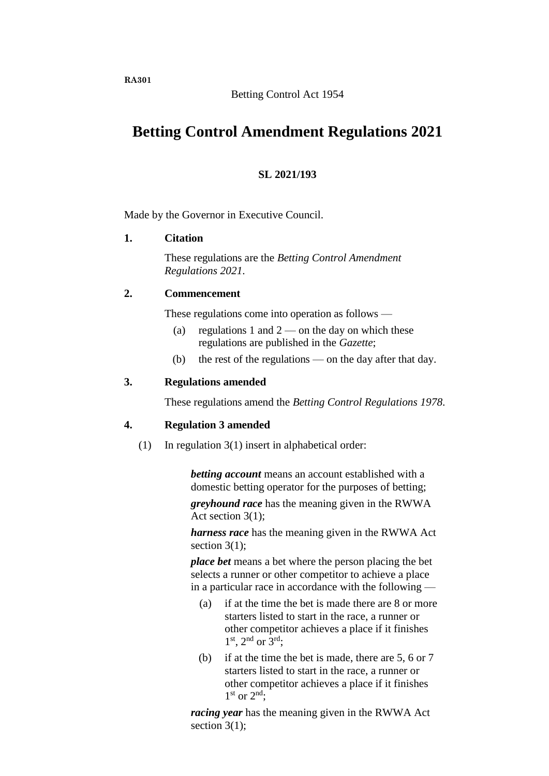# Betting Control Act 1954

# **Betting Control Amendment Regulations 2021**

# **SL 2021/193**

Made by the Governor in Executive Council.

# **1. Citation**

These regulations are the *Betting Control Amendment Regulations 2021*.

### **2. Commencement**

These regulations come into operation as follows —

- (a) regulations 1 and  $2$  on the day on which these regulations are published in the *Gazette*;
- (b) the rest of the regulations on the day after that day.

# **3. Regulations amended**

These regulations amend the *Betting Control Regulations 1978*.

#### **4. Regulation 3 amended**

(1) In regulation 3(1) insert in alphabetical order:

*betting account* means an account established with a domestic betting operator for the purposes of betting;

*greyhound race* has the meaning given in the RWWA Act section 3(1);

*harness race* has the meaning given in the RWWA Act section  $3(1)$ ;

*place bet* means a bet where the person placing the bet selects a runner or other competitor to achieve a place in a particular race in accordance with the following —

- (a) if at the time the bet is made there are 8 or more starters listed to start in the race, a runner or other competitor achieves a place if it finishes  $1<sup>st</sup>$ ,  $2<sup>nd</sup>$  or  $3<sup>rd</sup>$ ;
- (b) if at the time the bet is made, there are 5, 6 or 7 starters listed to start in the race, a runner or other competitor achieves a place if it finishes 1<sup>st</sup> or 2<sup>nd</sup>;

*racing year* has the meaning given in the RWWA Act section  $3(1)$ ;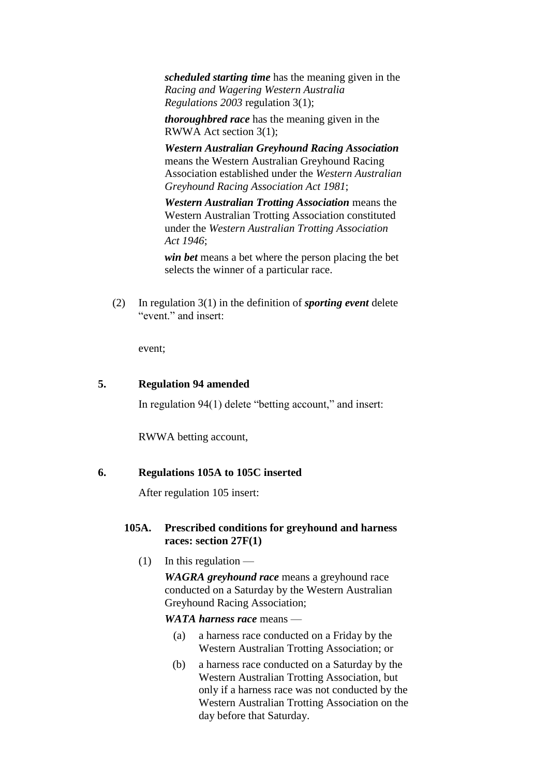*scheduled starting time* has the meaning given in the *Racing and Wagering Western Australia Regulations 2003* regulation 3(1);

*thoroughbred race* has the meaning given in the RWWA Act section 3(1);

*Western Australian Greyhound Racing Association* means the Western Australian Greyhound Racing Association established under the *Western Australian Greyhound Racing Association Act 1981*;

*Western Australian Trotting Association* means the Western Australian Trotting Association constituted under the *Western Australian Trotting Association Act 1946*;

*win bet* means a bet where the person placing the bet selects the winner of a particular race.

(2) In regulation 3(1) in the definition of *sporting event* delete "event." and insert:

event;

# **5. Regulation 94 amended**

In regulation 94(1) delete "betting account," and insert:

RWWA betting account,

#### **6. Regulations 105A to 105C inserted**

After regulation 105 insert:

# **105A. Prescribed conditions for greyhound and harness races: section 27F(1)**

 $(1)$  In this regulation —

*WAGRA greyhound race* means a greyhound race conducted on a Saturday by the Western Australian Greyhound Racing Association;

#### *WATA harness race* means —

- (a) a harness race conducted on a Friday by the Western Australian Trotting Association; or
- (b) a harness race conducted on a Saturday by the Western Australian Trotting Association, but only if a harness race was not conducted by the Western Australian Trotting Association on the day before that Saturday.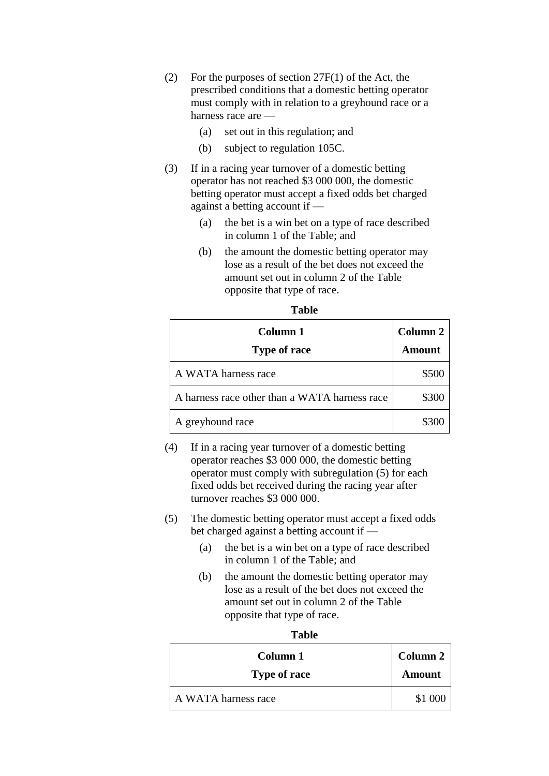- (2) For the purposes of section 27F(1) of the Act, the prescribed conditions that a domestic betting operator must comply with in relation to a greyhound race or a harness race are —
	- (a) set out in this regulation; and
	- (b) subject to regulation 105C.
- (3) If in a racing year turnover of a domestic betting operator has not reached \$3 000 000, the domestic betting operator must accept a fixed odds bet charged against a betting account if —
	- (a) the bet is a win bet on a type of race described in column 1 of the Table; and
	- (b) the amount the domestic betting operator may lose as a result of the bet does not exceed the amount set out in column 2 of the Table opposite that type of race.

| Column 1<br><b>Type of race</b>               | Column 2<br><b>Amount</b> |
|-----------------------------------------------|---------------------------|
| A WATA harness race                           | \$500                     |
| A harness race other than a WATA harness race | \$300                     |
| A greyhound race                              | \$300                     |

**Table**

- (4) If in a racing year turnover of a domestic betting operator reaches \$3 000 000, the domestic betting operator must comply with subregulation (5) for each fixed odds bet received during the racing year after turnover reaches \$3 000 000.
- (5) The domestic betting operator must accept a fixed odds bet charged against a betting account if —
	- (a) the bet is a win bet on a type of race described in column 1 of the Table; and
	- (b) the amount the domestic betting operator may lose as a result of the bet does not exceed the amount set out in column 2 of the Table opposite that type of race.

#### **Table**

| Column 1            | Column 2      |
|---------------------|---------------|
| <b>Type of race</b> | <b>Amount</b> |
| A WATA harness race | \$1,000       |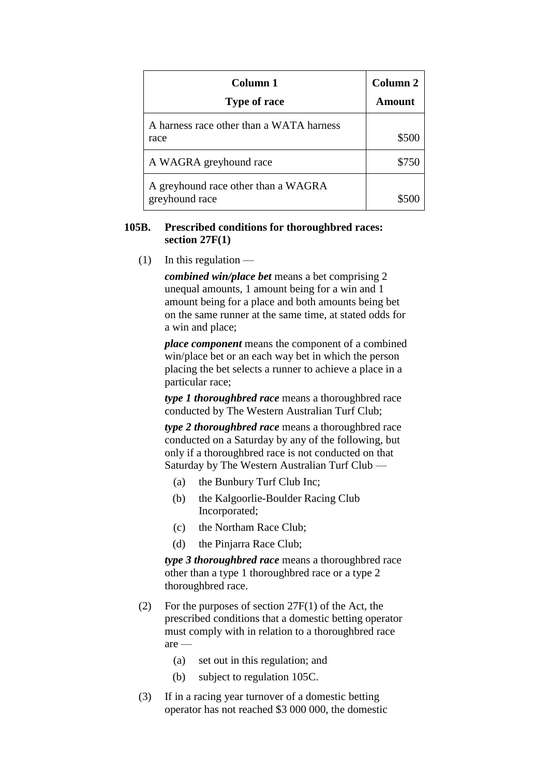| Column 1<br><b>Type of race</b>                       | Column 2<br>Amount |
|-------------------------------------------------------|--------------------|
| A harness race other than a WATA harness<br>race      | \$500              |
| A WAGRA greyhound race                                | \$750              |
| A greyhound race other than a WAGRA<br>greyhound race |                    |

### **105B. Prescribed conditions for thoroughbred races: section 27F(1)**

 $(1)$  In this regulation —

*combined win/place bet* means a bet comprising 2 unequal amounts, 1 amount being for a win and 1 amount being for a place and both amounts being bet on the same runner at the same time, at stated odds for a win and place;

*place component* means the component of a combined win/place bet or an each way bet in which the person placing the bet selects a runner to achieve a place in a particular race;

*type 1 thoroughbred race* means a thoroughbred race conducted by The Western Australian Turf Club;

*type 2 thoroughbred race* means a thoroughbred race conducted on a Saturday by any of the following, but only if a thoroughbred race is not conducted on that Saturday by The Western Australian Turf Club —

- (a) the Bunbury Turf Club Inc;
- (b) the Kalgoorlie-Boulder Racing Club Incorporated;
- (c) the Northam Race Club;
- (d) the Pinjarra Race Club;

*type 3 thoroughbred race* means a thoroughbred race other than a type 1 thoroughbred race or a type 2 thoroughbred race.

- (2) For the purposes of section 27F(1) of the Act, the prescribed conditions that a domestic betting operator must comply with in relation to a thoroughbred race are —
	- (a) set out in this regulation; and
	- (b) subject to regulation 105C.
- (3) If in a racing year turnover of a domestic betting operator has not reached \$3 000 000, the domestic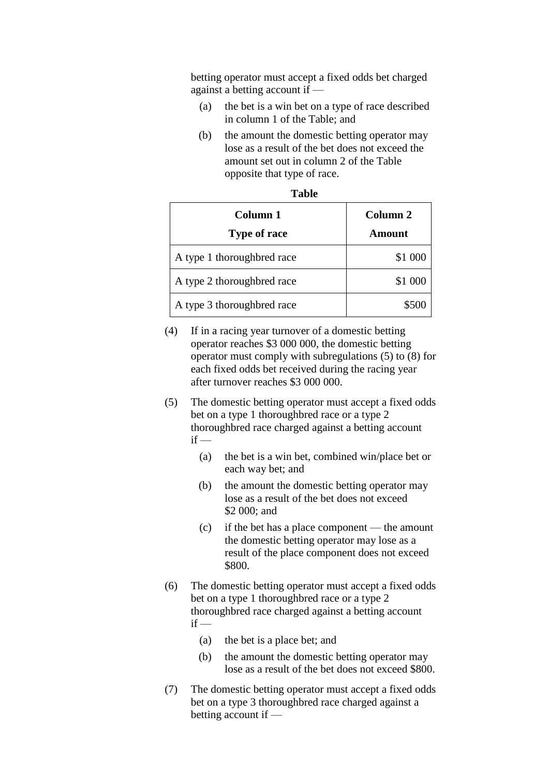betting operator must accept a fixed odds bet charged against a betting account if —

- (a) the bet is a win bet on a type of race described in column 1 of the Table; and
- (b) the amount the domestic betting operator may lose as a result of the bet does not exceed the amount set out in column 2 of the Table opposite that type of race.

| Column 1<br><b>Type of race</b> | Column <sub>2</sub><br>Amount |
|---------------------------------|-------------------------------|
| A type 1 thoroughbred race      | \$1 000                       |
| A type 2 thoroughbred race      | \$1 000                       |
| A type 3 thoroughbred race      | \$500                         |

| ×<br>M.<br>.,<br>۰,<br>۰.<br>۰. |
|---------------------------------|
|---------------------------------|

- (4) If in a racing year turnover of a domestic betting operator reaches \$3 000 000, the domestic betting operator must comply with subregulations (5) to (8) for each fixed odds bet received during the racing year after turnover reaches \$3 000 000.
- (5) The domestic betting operator must accept a fixed odds bet on a type 1 thoroughbred race or a type 2 thoroughbred race charged against a betting account  $if -$ 
	- (a) the bet is a win bet, combined win/place bet or each way bet; and
	- (b) the amount the domestic betting operator may lose as a result of the bet does not exceed \$2 000; and
	- (c) if the bet has a place component the amount the domestic betting operator may lose as a result of the place component does not exceed \$800.
- (6) The domestic betting operator must accept a fixed odds bet on a type 1 thoroughbred race or a type 2 thoroughbred race charged against a betting account  $if -$ 
	- (a) the bet is a place bet; and
	- (b) the amount the domestic betting operator may lose as a result of the bet does not exceed \$800.
- (7) The domestic betting operator must accept a fixed odds bet on a type 3 thoroughbred race charged against a betting account if —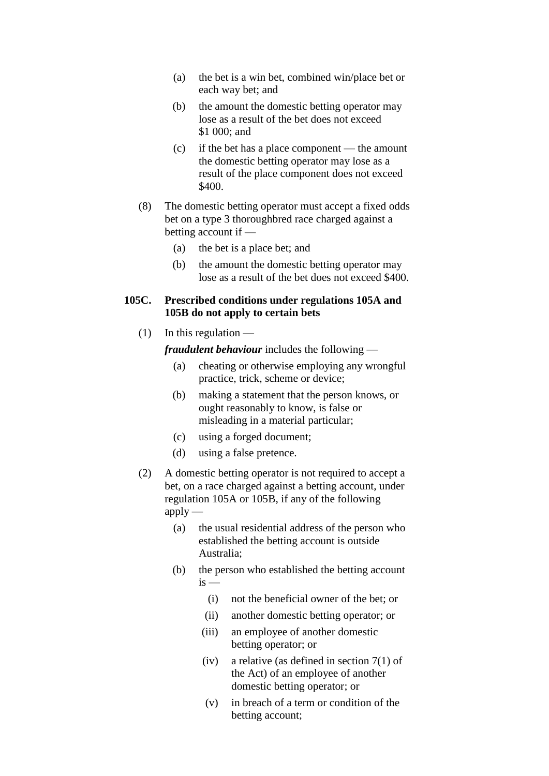- (a) the bet is a win bet, combined win/place bet or each way bet; and
- (b) the amount the domestic betting operator may lose as a result of the bet does not exceed \$1 000; and
- (c) if the bet has a place component the amount the domestic betting operator may lose as a result of the place component does not exceed \$400.
- (8) The domestic betting operator must accept a fixed odds bet on a type 3 thoroughbred race charged against a betting account if —
	- (a) the bet is a place bet; and
	- (b) the amount the domestic betting operator may lose as a result of the bet does not exceed \$400.

## **105C. Prescribed conditions under regulations 105A and 105B do not apply to certain bets**

 $(1)$  In this regulation —

*fraudulent behaviour* includes the following —

- (a) cheating or otherwise employing any wrongful practice, trick, scheme or device;
- (b) making a statement that the person knows, or ought reasonably to know, is false or misleading in a material particular;
- (c) using a forged document;
- (d) using a false pretence.
- (2) A domestic betting operator is not required to accept a bet, on a race charged against a betting account, under regulation 105A or 105B, if any of the following  $apply$ —
	- (a) the usual residential address of the person who established the betting account is outside Australia;
	- (b) the person who established the betting account  $i<sub>s</sub>$ 
		- (i) not the beneficial owner of the bet; or
		- (ii) another domestic betting operator; or
		- (iii) an employee of another domestic betting operator; or
		- (iv) a relative (as defined in section 7(1) of the Act) of an employee of another domestic betting operator; or
		- (v) in breach of a term or condition of the betting account;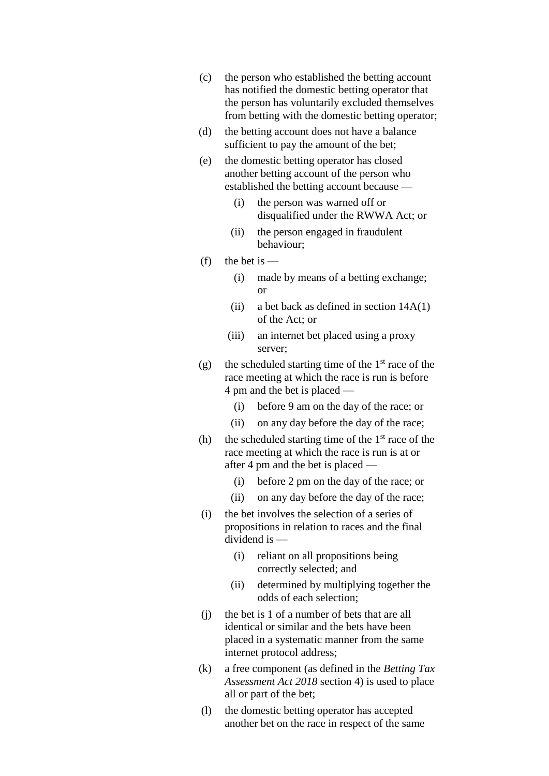- (c) the person who established the betting account has notified the domestic betting operator that the person has voluntarily excluded themselves from betting with the domestic betting operator;
- (d) the betting account does not have a balance sufficient to pay the amount of the bet;
- (e) the domestic betting operator has closed another betting account of the person who established the betting account because —
	- (i) the person was warned off or disqualified under the RWWA Act; or
	- (ii) the person engaged in fraudulent behaviour;
- $(f)$  the bet is
	- (i) made by means of a betting exchange; or
	- (ii) a bet back as defined in section  $14A(1)$ of the Act; or
	- (iii) an internet bet placed using a proxy server;
- (g) the scheduled starting time of the  $1<sup>st</sup>$  race of the race meeting at which the race is run is before 4 pm and the bet is placed —
	- (i) before 9 am on the day of the race; or
	- (ii) on any day before the day of the race;
- (h) the scheduled starting time of the  $1<sup>st</sup>$  race of the race meeting at which the race is run is at or after 4 pm and the bet is placed —
	- (i) before 2 pm on the day of the race; or
	- (ii) on any day before the day of the race;
- (i) the bet involves the selection of a series of propositions in relation to races and the final dividend is —
	- (i) reliant on all propositions being correctly selected; and
	- (ii) determined by multiplying together the odds of each selection;
- (j) the bet is 1 of a number of bets that are all identical or similar and the bets have been placed in a systematic manner from the same internet protocol address;
- (k) a free component (as defined in the *Betting Tax Assessment Act 2018* section 4) is used to place all or part of the bet;
- (l) the domestic betting operator has accepted another bet on the race in respect of the same